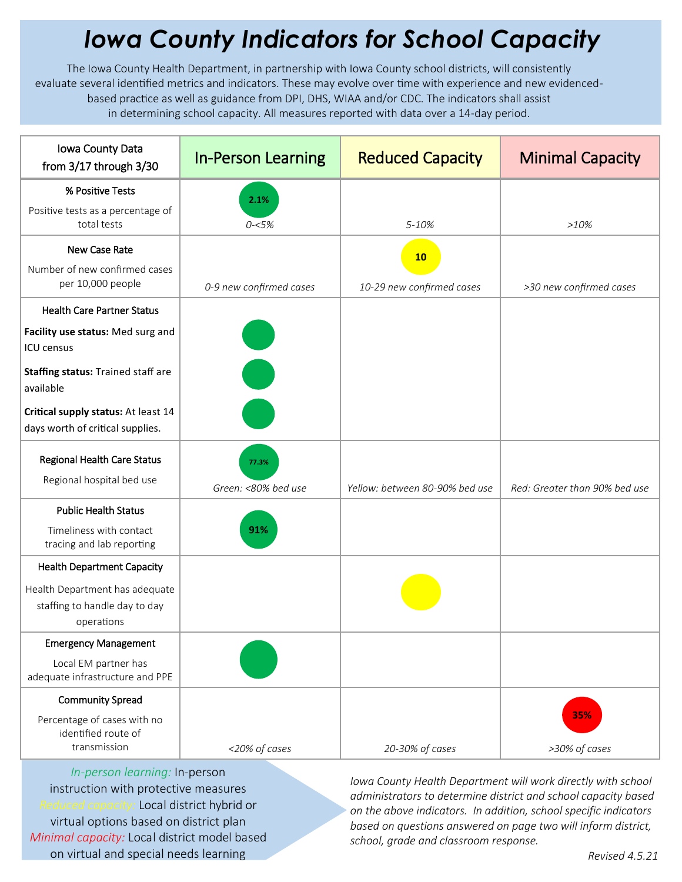## *Iowa County Indicators for School Capacity*

The Iowa County Health Department, in partnership with Iowa County school districts, will consistently evaluate several identified metrics and indicators. These may evolve over time with experience and new evidencedbased practice as well as guidance from DPI, DHS, WIAA and/or CDC. The indicators shall assist in determining school capacity. All measures reported with data over a 14-day period.

| Iowa County Data<br>from 3/17 through 3/30                                    | <b>In-Person Learning</b>    | <b>Reduced Capacity</b>        | <b>Minimal Capacity</b>       |
|-------------------------------------------------------------------------------|------------------------------|--------------------------------|-------------------------------|
| % Positive Tests                                                              | 2.1%                         |                                |                               |
| Positive tests as a percentage of<br>total tests                              | $0 - 5%$                     | 5-10%                          | >10%                          |
| New Case Rate                                                                 |                              | 10                             |                               |
| Number of new confirmed cases<br>per 10,000 people                            | 0-9 new confirmed cases      | 10-29 new confirmed cases      | >30 new confirmed cases       |
| <b>Health Care Partner Status</b>                                             |                              |                                |                               |
| Facility use status: Med surg and<br>ICU census                               |                              |                                |                               |
| Staffing status: Trained staff are<br>available                               |                              |                                |                               |
| Critical supply status: At least 14<br>days worth of critical supplies.       |                              |                                |                               |
| <b>Regional Health Care Status</b><br>Regional hospital bed use               | 77.3%<br>Green: <80% bed use | Yellow: between 80-90% bed use | Red: Greater than 90% bed use |
| <b>Public Health Status</b>                                                   |                              |                                |                               |
| Timeliness with contact<br>tracing and lab reporting                          | 91%                          |                                |                               |
| <b>Health Department Capacity</b>                                             |                              |                                |                               |
| Health Department has adequate<br>staffing to handle day to day<br>operations |                              |                                |                               |
| <b>Emergency Management</b>                                                   |                              |                                |                               |
| Local EM partner has<br>adequate infrastructure and PPE                       |                              |                                |                               |
| <b>Community Spread</b>                                                       |                              |                                |                               |
| Percentage of cases with no<br>identified route of<br>transmission            | <20% of cases                | 20-30% of cases                | 35%<br>>30% of cases          |

*In-person learning:* In-person instruction with protective measures *Reduced capacity:* Local district hybrid or virtual options based on district plan *Minimal capacity:* Local district model based on virtual and special needs learning

*Iowa County Health Department will work directly with school administrators to determine district and school capacity based on the above indicators. In addition, school specific indicators based on questions answered on page two will inform district, school, grade and classroom response.*